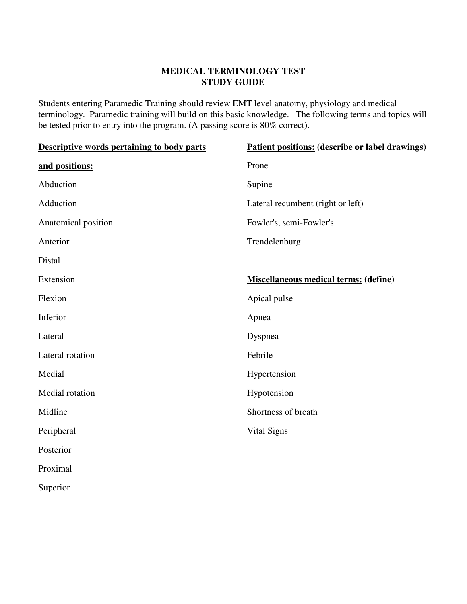## **MEDICAL TERMINOLOGY TEST STUDY GUIDE**

Students entering Paramedic Training should review EMT level anatomy, physiology and medical terminology. Paramedic training will build on this basic knowledge. The following terms and topics will be tested prior to entry into the program. (A passing score is 80% correct).

| <b>Descriptive words pertaining to body parts</b> | Patient positions: (describe or label drawings) |
|---------------------------------------------------|-------------------------------------------------|
| and positions:                                    | Prone                                           |
| Abduction                                         | Supine                                          |
| Adduction                                         | Lateral recumbent (right or left)               |
| Anatomical position                               | Fowler's, semi-Fowler's                         |
| Anterior                                          | Trendelenburg                                   |
| Distal                                            |                                                 |
| Extension                                         | <b>Miscellaneous medical terms: (define)</b>    |
| Flexion                                           | Apical pulse                                    |
| Inferior                                          | Apnea                                           |
| Lateral                                           | Dyspnea                                         |
| Lateral rotation                                  | Febrile                                         |
| Medial                                            | Hypertension                                    |
| Medial rotation                                   | Hypotension                                     |
| Midline                                           | Shortness of breath                             |
| Peripheral                                        | Vital Signs                                     |
| Posterior                                         |                                                 |
| Proximal                                          |                                                 |
| Superior                                          |                                                 |